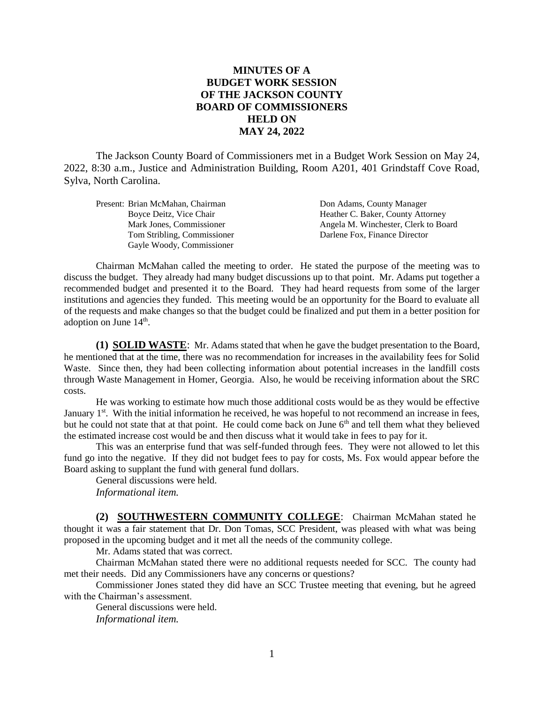## **MINUTES OF A BUDGET WORK SESSION OF THE JACKSON COUNTY BOARD OF COMMISSIONERS HELD ON MAY 24, 2022**

The Jackson County Board of Commissioners met in a Budget Work Session on May 24, 2022, 8:30 a.m., Justice and Administration Building, Room A201, 401 Grindstaff Cove Road, Sylva, North Carolina.

| Present: Brian McMahan, Chairman | Don Adams, County Manager            |
|----------------------------------|--------------------------------------|
| Boyce Deitz, Vice Chair          | Heather C. Baker, County Attorney    |
| Mark Jones, Commissioner         | Angela M. Winchester, Clerk to Board |
| Tom Stribling, Commissioner      | Darlene Fox, Finance Director        |
| Gayle Woody, Commissioner        |                                      |

Chairman McMahan called the meeting to order. He stated the purpose of the meeting was to discuss the budget. They already had many budget discussions up to that point. Mr. Adams put together a recommended budget and presented it to the Board. They had heard requests from some of the larger institutions and agencies they funded. This meeting would be an opportunity for the Board to evaluate all of the requests and make changes so that the budget could be finalized and put them in a better position for adoption on June 14<sup>th</sup>.

**(1) SOLID WASTE**: Mr. Adams stated that when he gave the budget presentation to the Board, he mentioned that at the time, there was no recommendation for increases in the availability fees for Solid Waste. Since then, they had been collecting information about potential increases in the landfill costs through Waste Management in Homer, Georgia. Also, he would be receiving information about the SRC costs.

He was working to estimate how much those additional costs would be as they would be effective January 1<sup>st</sup>. With the initial information he received, he was hopeful to not recommend an increase in fees, but he could not state that at that point. He could come back on June  $6<sup>th</sup>$  and tell them what they believed the estimated increase cost would be and then discuss what it would take in fees to pay for it.

This was an enterprise fund that was self-funded through fees. They were not allowed to let this fund go into the negative. If they did not budget fees to pay for costs, Ms. Fox would appear before the Board asking to supplant the fund with general fund dollars.

General discussions were held. *Informational item.*

**(2) SOUTHWESTERN COMMUNITY COLLEGE**: Chairman McMahan stated he thought it was a fair statement that Dr. Don Tomas, SCC President, was pleased with what was being proposed in the upcoming budget and it met all the needs of the community college.

Mr. Adams stated that was correct.

Chairman McMahan stated there were no additional requests needed for SCC. The county had met their needs. Did any Commissioners have any concerns or questions?

Commissioner Jones stated they did have an SCC Trustee meeting that evening, but he agreed with the Chairman's assessment.

General discussions were held. *Informational item.*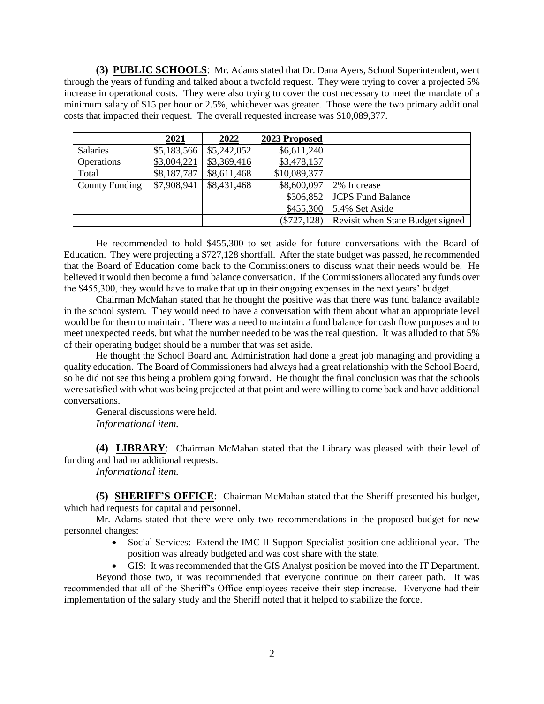**(3) PUBLIC SCHOOLS**: Mr. Adams stated that Dr. Dana Ayers, School Superintendent, went through the years of funding and talked about a twofold request. They were trying to cover a projected 5% increase in operational costs. They were also trying to cover the cost necessary to meet the mandate of a minimum salary of \$15 per hour or 2.5%, whichever was greater. Those were the two primary additional costs that impacted their request. The overall requested increase was \$10,089,377.

|                       | 2021        | 2022        | 2023 Proposed |                                  |
|-----------------------|-------------|-------------|---------------|----------------------------------|
| <b>Salaries</b>       | \$5,183,566 | \$5,242,052 | \$6,611,240   |                                  |
| <b>Operations</b>     | \$3,004,221 | \$3,369,416 | \$3,478,137   |                                  |
| Total                 | \$8,187,787 | \$8,611,468 | \$10,089,377  |                                  |
| <b>County Funding</b> | \$7,908,941 | \$8,431,468 | \$8,600,097   | 2% Increase                      |
|                       |             |             |               | \$306,852   JCPS Fund Balance    |
|                       |             |             | \$455,300     | 5.4% Set Aside                   |
|                       |             |             | $(\$727,128)$ | Revisit when State Budget signed |

He recommended to hold \$455,300 to set aside for future conversations with the Board of Education. They were projecting a \$727,128 shortfall. After the state budget was passed, he recommended that the Board of Education come back to the Commissioners to discuss what their needs would be. He believed it would then become a fund balance conversation. If the Commissioners allocated any funds over the \$455,300, they would have to make that up in their ongoing expenses in the next years' budget.

Chairman McMahan stated that he thought the positive was that there was fund balance available in the school system. They would need to have a conversation with them about what an appropriate level would be for them to maintain. There was a need to maintain a fund balance for cash flow purposes and to meet unexpected needs, but what the number needed to be was the real question. It was alluded to that 5% of their operating budget should be a number that was set aside.

He thought the School Board and Administration had done a great job managing and providing a quality education. The Board of Commissioners had always had a great relationship with the School Board, so he did not see this being a problem going forward. He thought the final conclusion was that the schools were satisfied with what was being projected at that point and were willing to come back and have additional conversations.

General discussions were held. *Informational item.*

**(4) LIBRARY**: Chairman McMahan stated that the Library was pleased with their level of funding and had no additional requests.

*Informational item.*

**(5) SHERIFF'S OFFICE**: Chairman McMahan stated that the Sheriff presented his budget, which had requests for capital and personnel.

Mr. Adams stated that there were only two recommendations in the proposed budget for new personnel changes:

- Social Services: Extend the IMC II-Support Specialist position one additional year. The position was already budgeted and was cost share with the state.
- GIS: It was recommended that the GIS Analyst position be moved into the IT Department.

Beyond those two, it was recommended that everyone continue on their career path. It was recommended that all of the Sheriff's Office employees receive their step increase. Everyone had their implementation of the salary study and the Sheriff noted that it helped to stabilize the force.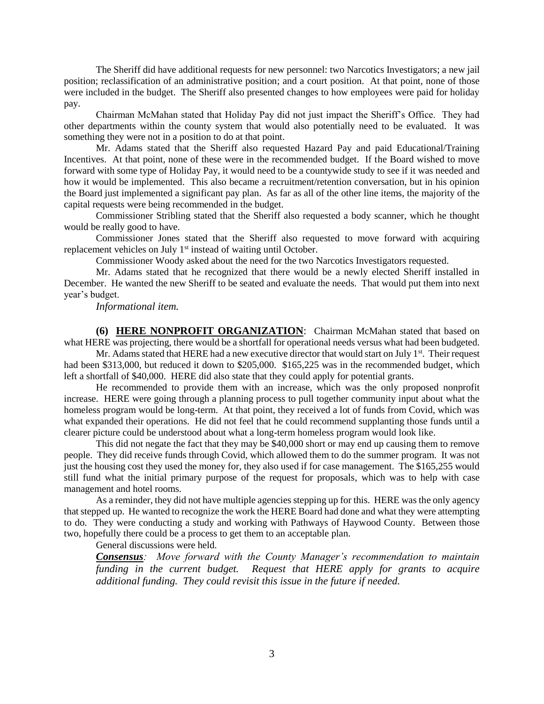The Sheriff did have additional requests for new personnel: two Narcotics Investigators; a new jail position; reclassification of an administrative position; and a court position. At that point, none of those were included in the budget. The Sheriff also presented changes to how employees were paid for holiday pay.

Chairman McMahan stated that Holiday Pay did not just impact the Sheriff's Office. They had other departments within the county system that would also potentially need to be evaluated. It was something they were not in a position to do at that point.

Mr. Adams stated that the Sheriff also requested Hazard Pay and paid Educational/Training Incentives. At that point, none of these were in the recommended budget. If the Board wished to move forward with some type of Holiday Pay, it would need to be a countywide study to see if it was needed and how it would be implemented. This also became a recruitment/retention conversation, but in his opinion the Board just implemented a significant pay plan. As far as all of the other line items, the majority of the capital requests were being recommended in the budget.

Commissioner Stribling stated that the Sheriff also requested a body scanner, which he thought would be really good to have.

Commissioner Jones stated that the Sheriff also requested to move forward with acquiring replacement vehicles on July 1<sup>st</sup> instead of waiting until October.

Commissioner Woody asked about the need for the two Narcotics Investigators requested.

Mr. Adams stated that he recognized that there would be a newly elected Sheriff installed in December. He wanted the new Sheriff to be seated and evaluate the needs. That would put them into next year's budget.

*Informational item.*

**(6) HERE NONPROFIT ORGANIZATION**: Chairman McMahan stated that based on what HERE was projecting, there would be a shortfall for operational needs versus what had been budgeted.

Mr. Adams stated that HERE had a new executive director that would start on July  $1<sup>st</sup>$ . Their request had been \$313,000, but reduced it down to \$205,000. \$165,225 was in the recommended budget, which left a shortfall of \$40,000. HERE did also state that they could apply for potential grants.

He recommended to provide them with an increase, which was the only proposed nonprofit increase. HERE were going through a planning process to pull together community input about what the homeless program would be long-term. At that point, they received a lot of funds from Covid, which was what expanded their operations. He did not feel that he could recommend supplanting those funds until a clearer picture could be understood about what a long-term homeless program would look like.

This did not negate the fact that they may be \$40,000 short or may end up causing them to remove people. They did receive funds through Covid, which allowed them to do the summer program. It was not just the housing cost they used the money for, they also used if for case management. The \$165,255 would still fund what the initial primary purpose of the request for proposals, which was to help with case management and hotel rooms.

As a reminder, they did not have multiple agencies stepping up for this. HERE was the only agency that stepped up. He wanted to recognize the work the HERE Board had done and what they were attempting to do. They were conducting a study and working with Pathways of Haywood County. Between those two, hopefully there could be a process to get them to an acceptable plan.

General discussions were held.

*Consensus: Move forward with the County Manager's recommendation to maintain funding in the current budget. Request that HERE apply for grants to acquire additional funding. They could revisit this issue in the future if needed.*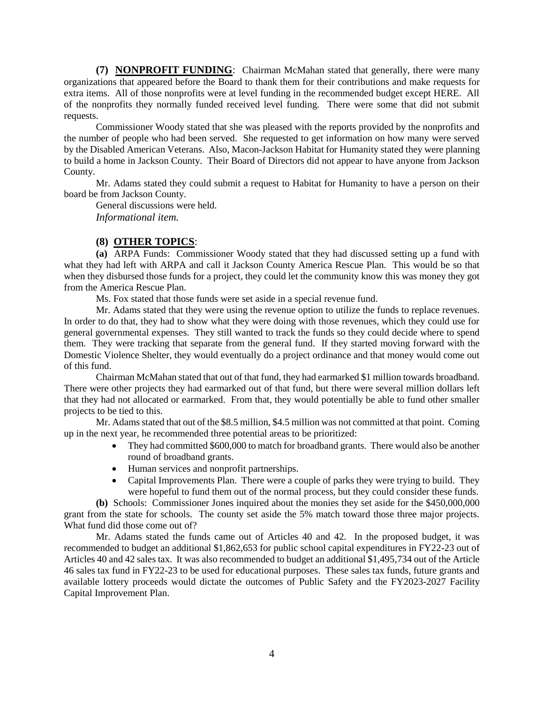**(7) NONPROFIT FUNDING**: Chairman McMahan stated that generally, there were many organizations that appeared before the Board to thank them for their contributions and make requests for extra items. All of those nonprofits were at level funding in the recommended budget except HERE. All of the nonprofits they normally funded received level funding. There were some that did not submit requests.

Commissioner Woody stated that she was pleased with the reports provided by the nonprofits and the number of people who had been served. She requested to get information on how many were served by the Disabled American Veterans. Also, Macon-Jackson Habitat for Humanity stated they were planning to build a home in Jackson County. Their Board of Directors did not appear to have anyone from Jackson County.

Mr. Adams stated they could submit a request to Habitat for Humanity to have a person on their board be from Jackson County.

General discussions were held. *Informational item.*

## **(8) OTHER TOPICS**:

**(a)** ARPA Funds: Commissioner Woody stated that they had discussed setting up a fund with what they had left with ARPA and call it Jackson County America Rescue Plan. This would be so that when they disbursed those funds for a project, they could let the community know this was money they got from the America Rescue Plan.

Ms. Fox stated that those funds were set aside in a special revenue fund.

Mr. Adams stated that they were using the revenue option to utilize the funds to replace revenues. In order to do that, they had to show what they were doing with those revenues, which they could use for general governmental expenses. They still wanted to track the funds so they could decide where to spend them. They were tracking that separate from the general fund. If they started moving forward with the Domestic Violence Shelter, they would eventually do a project ordinance and that money would come out of this fund.

Chairman McMahan stated that out of that fund, they had earmarked \$1 million towards broadband. There were other projects they had earmarked out of that fund, but there were several million dollars left that they had not allocated or earmarked. From that, they would potentially be able to fund other smaller projects to be tied to this.

Mr. Adams stated that out of the \$8.5 million, \$4.5 million was not committed at that point. Coming up in the next year, he recommended three potential areas to be prioritized:

- They had committed \$600,000 to match for broadband grants. There would also be another round of broadband grants.
- Human services and nonprofit partnerships.
- Capital Improvements Plan. There were a couple of parks they were trying to build. They were hopeful to fund them out of the normal process, but they could consider these funds.

**(b)** Schools: Commissioner Jones inquired about the monies they set aside for the \$450,000,000 grant from the state for schools. The county set aside the 5% match toward those three major projects. What fund did those come out of?

Mr. Adams stated the funds came out of Articles 40 and 42. In the proposed budget, it was recommended to budget an additional \$1,862,653 for public school capital expenditures in FY22-23 out of Articles 40 and 42 sales tax. It was also recommended to budget an additional \$1,495,734 out of the Article 46 sales tax fund in FY22-23 to be used for educational purposes. These sales tax funds, future grants and available lottery proceeds would dictate the outcomes of Public Safety and the FY2023-2027 Facility Capital Improvement Plan.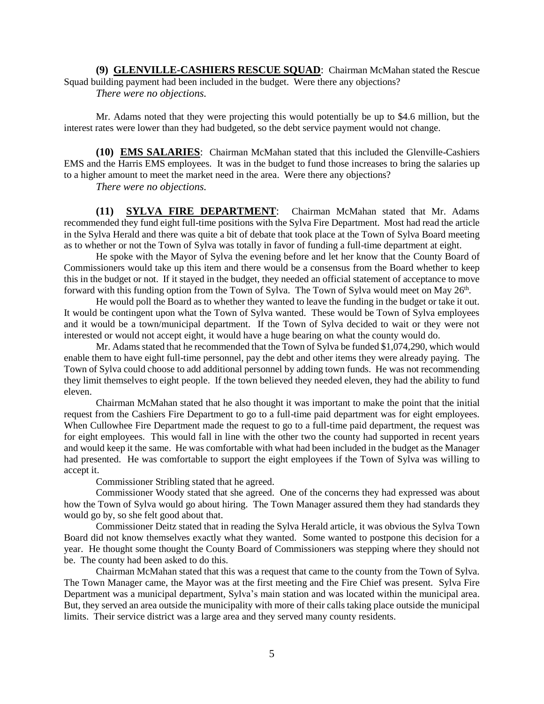**(9) GLENVILLE-CASHIERS RESCUE SQUAD**: Chairman McMahan stated the Rescue Squad building payment had been included in the budget. Were there any objections? *There were no objections.*

Mr. Adams noted that they were projecting this would potentially be up to \$4.6 million, but the interest rates were lower than they had budgeted, so the debt service payment would not change.

**(10) EMS SALARIES**: Chairman McMahan stated that this included the Glenville-Cashiers EMS and the Harris EMS employees. It was in the budget to fund those increases to bring the salaries up to a higher amount to meet the market need in the area. Were there any objections?

*There were no objections.*

**(11) SYLVA FIRE DEPARTMENT**: Chairman McMahan stated that Mr. Adams recommended they fund eight full-time positions with the Sylva Fire Department. Most had read the article in the Sylva Herald and there was quite a bit of debate that took place at the Town of Sylva Board meeting as to whether or not the Town of Sylva was totally in favor of funding a full-time department at eight.

He spoke with the Mayor of Sylva the evening before and let her know that the County Board of Commissioners would take up this item and there would be a consensus from the Board whether to keep this in the budget or not. If it stayed in the budget, they needed an official statement of acceptance to move forward with this funding option from the Town of Sylva. The Town of Sylva would meet on May 26<sup>th</sup>.

He would poll the Board as to whether they wanted to leave the funding in the budget or take it out. It would be contingent upon what the Town of Sylva wanted. These would be Town of Sylva employees and it would be a town/municipal department. If the Town of Sylva decided to wait or they were not interested or would not accept eight, it would have a huge bearing on what the county would do.

Mr. Adams stated that he recommended that the Town of Sylva be funded \$1,074,290, which would enable them to have eight full-time personnel, pay the debt and other items they were already paying. The Town of Sylva could choose to add additional personnel by adding town funds. He was not recommending they limit themselves to eight people. If the town believed they needed eleven, they had the ability to fund eleven.

Chairman McMahan stated that he also thought it was important to make the point that the initial request from the Cashiers Fire Department to go to a full-time paid department was for eight employees. When Cullowhee Fire Department made the request to go to a full-time paid department, the request was for eight employees. This would fall in line with the other two the county had supported in recent years and would keep it the same. He was comfortable with what had been included in the budget as the Manager had presented. He was comfortable to support the eight employees if the Town of Sylva was willing to accept it.

Commissioner Stribling stated that he agreed.

Commissioner Woody stated that she agreed. One of the concerns they had expressed was about how the Town of Sylva would go about hiring. The Town Manager assured them they had standards they would go by, so she felt good about that.

Commissioner Deitz stated that in reading the Sylva Herald article, it was obvious the Sylva Town Board did not know themselves exactly what they wanted. Some wanted to postpone this decision for a year. He thought some thought the County Board of Commissioners was stepping where they should not be. The county had been asked to do this.

Chairman McMahan stated that this was a request that came to the county from the Town of Sylva. The Town Manager came, the Mayor was at the first meeting and the Fire Chief was present. Sylva Fire Department was a municipal department, Sylva's main station and was located within the municipal area. But, they served an area outside the municipality with more of their calls taking place outside the municipal limits. Their service district was a large area and they served many county residents.